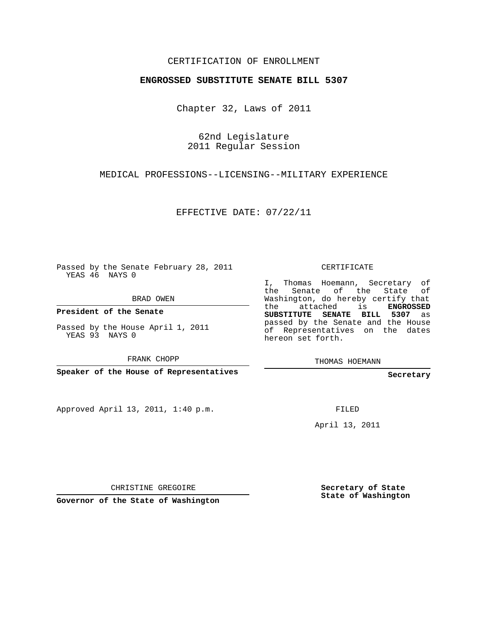### CERTIFICATION OF ENROLLMENT

#### **ENGROSSED SUBSTITUTE SENATE BILL 5307**

Chapter 32, Laws of 2011

62nd Legislature 2011 Regular Session

### MEDICAL PROFESSIONS--LICENSING--MILITARY EXPERIENCE

EFFECTIVE DATE: 07/22/11

Passed by the Senate February 28, 2011 YEAS 46 NAYS 0

BRAD OWEN

**President of the Senate**

Passed by the House April 1, 2011 YEAS 93 NAYS 0

FRANK CHOPP

**Speaker of the House of Representatives**

Approved April 13, 2011, 1:40 p.m.

CERTIFICATE

I, Thomas Hoemann, Secretary of the Senate of the State Washington, do hereby certify that the attached is **ENGROSSED SUBSTITUTE SENATE BILL 5307** as passed by the Senate and the House of Representatives on the dates hereon set forth.

THOMAS HOEMANN

**Secretary**

FILED

April 13, 2011

CHRISTINE GREGOIRE

**Governor of the State of Washington**

**Secretary of State State of Washington**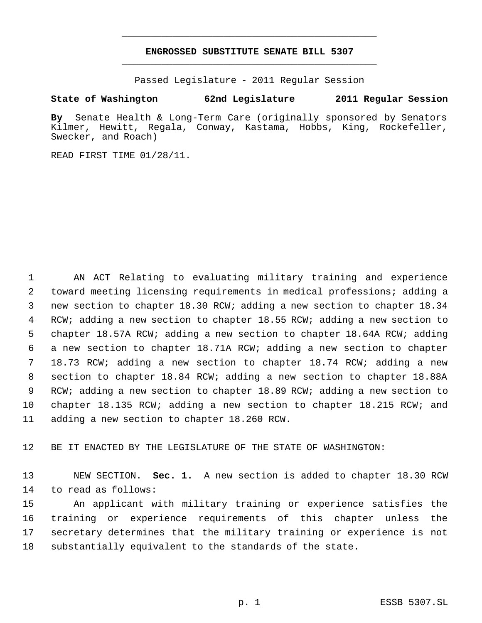# **ENGROSSED SUBSTITUTE SENATE BILL 5307** \_\_\_\_\_\_\_\_\_\_\_\_\_\_\_\_\_\_\_\_\_\_\_\_\_\_\_\_\_\_\_\_\_\_\_\_\_\_\_\_\_\_\_\_\_

\_\_\_\_\_\_\_\_\_\_\_\_\_\_\_\_\_\_\_\_\_\_\_\_\_\_\_\_\_\_\_\_\_\_\_\_\_\_\_\_\_\_\_\_\_

Passed Legislature - 2011 Regular Session

## **State of Washington 62nd Legislature 2011 Regular Session**

**By** Senate Health & Long-Term Care (originally sponsored by Senators Kilmer, Hewitt, Regala, Conway, Kastama, Hobbs, King, Rockefeller, Swecker, and Roach)

READ FIRST TIME 01/28/11.

 AN ACT Relating to evaluating military training and experience toward meeting licensing requirements in medical professions; adding a new section to chapter 18.30 RCW; adding a new section to chapter 18.34 RCW; adding a new section to chapter 18.55 RCW; adding a new section to chapter 18.57A RCW; adding a new section to chapter 18.64A RCW; adding a new section to chapter 18.71A RCW; adding a new section to chapter 18.73 RCW; adding a new section to chapter 18.74 RCW; adding a new section to chapter 18.84 RCW; adding a new section to chapter 18.88A RCW; adding a new section to chapter 18.89 RCW; adding a new section to chapter 18.135 RCW; adding a new section to chapter 18.215 RCW; and adding a new section to chapter 18.260 RCW.

BE IT ENACTED BY THE LEGISLATURE OF THE STATE OF WASHINGTON:

 NEW SECTION. **Sec. 1.** A new section is added to chapter 18.30 RCW to read as follows:

 An applicant with military training or experience satisfies the training or experience requirements of this chapter unless the secretary determines that the military training or experience is not substantially equivalent to the standards of the state.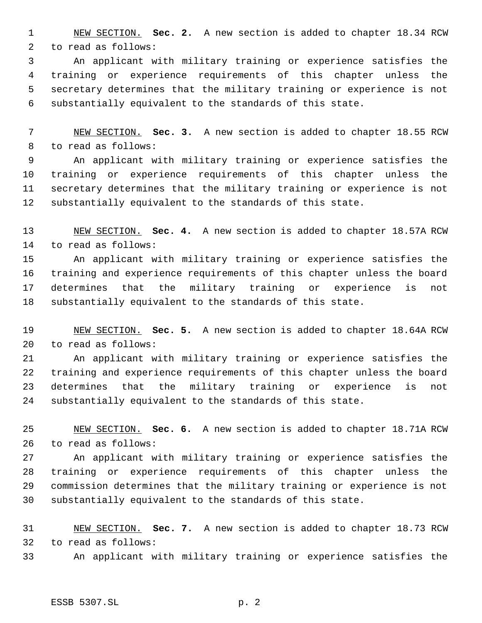NEW SECTION. **Sec. 2.** A new section is added to chapter 18.34 RCW to read as follows:

 An applicant with military training or experience satisfies the training or experience requirements of this chapter unless the secretary determines that the military training or experience is not substantially equivalent to the standards of this state.

 NEW SECTION. **Sec. 3.** A new section is added to chapter 18.55 RCW to read as follows:

 An applicant with military training or experience satisfies the training or experience requirements of this chapter unless the secretary determines that the military training or experience is not substantially equivalent to the standards of this state.

 NEW SECTION. **Sec. 4.** A new section is added to chapter 18.57A RCW to read as follows:

 An applicant with military training or experience satisfies the training and experience requirements of this chapter unless the board determines that the military training or experience is not substantially equivalent to the standards of this state.

 NEW SECTION. **Sec. 5.** A new section is added to chapter 18.64A RCW to read as follows:

 An applicant with military training or experience satisfies the training and experience requirements of this chapter unless the board determines that the military training or experience is not substantially equivalent to the standards of this state.

 NEW SECTION. **Sec. 6.** A new section is added to chapter 18.71A RCW to read as follows:

 An applicant with military training or experience satisfies the training or experience requirements of this chapter unless the commission determines that the military training or experience is not substantially equivalent to the standards of this state.

 NEW SECTION. **Sec. 7.** A new section is added to chapter 18.73 RCW to read as follows:

An applicant with military training or experience satisfies the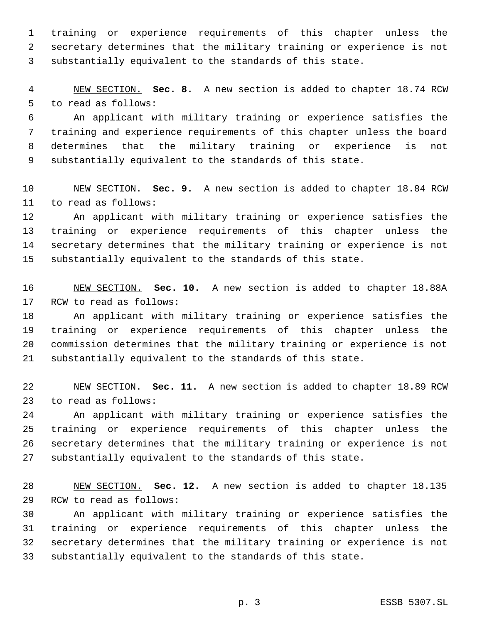training or experience requirements of this chapter unless the secretary determines that the military training or experience is not substantially equivalent to the standards of this state.

 NEW SECTION. **Sec. 8.** A new section is added to chapter 18.74 RCW to read as follows:

 An applicant with military training or experience satisfies the training and experience requirements of this chapter unless the board determines that the military training or experience is not substantially equivalent to the standards of this state.

 NEW SECTION. **Sec. 9.** A new section is added to chapter 18.84 RCW to read as follows:

 An applicant with military training or experience satisfies the training or experience requirements of this chapter unless the secretary determines that the military training or experience is not substantially equivalent to the standards of this state.

 NEW SECTION. **Sec. 10.** A new section is added to chapter 18.88A RCW to read as follows:

 An applicant with military training or experience satisfies the training or experience requirements of this chapter unless the commission determines that the military training or experience is not substantially equivalent to the standards of this state.

 NEW SECTION. **Sec. 11.** A new section is added to chapter 18.89 RCW to read as follows:

 An applicant with military training or experience satisfies the training or experience requirements of this chapter unless the secretary determines that the military training or experience is not substantially equivalent to the standards of this state.

 NEW SECTION. **Sec. 12.** A new section is added to chapter 18.135 RCW to read as follows:

 An applicant with military training or experience satisfies the training or experience requirements of this chapter unless the secretary determines that the military training or experience is not substantially equivalent to the standards of this state.